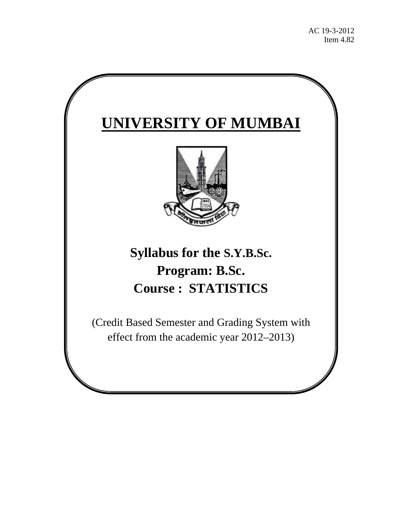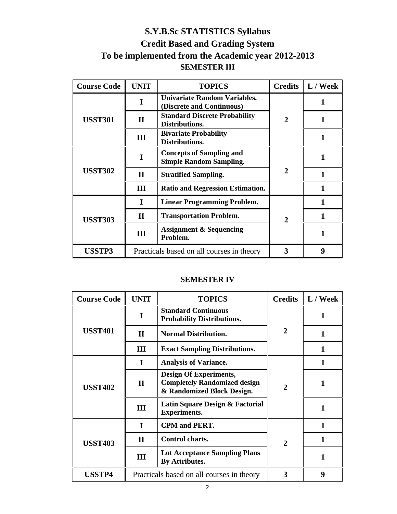# **S.Y.B.Sc STATISTICS Syllabus Credit Based and Grading System To be implemented from the Academic year 2012-2013 SEMESTER III**

| <b>Course Code</b> | <b>UNIT</b>  | <b>TOPICS</b>                                                     | <b>Credits</b>              | L / Week |
|--------------------|--------------|-------------------------------------------------------------------|-----------------------------|----------|
|                    |              | <b>Univariate Random Variables.</b><br>(Discrete and Continuous)  |                             |          |
| <b>USST301</b>     | $\mathbf{I}$ | <b>Standard Discrete Probability</b><br>Distributions.            | $\overline{2}$              |          |
|                    | III          | <b>Bivariate Probability</b><br>Distributions.                    |                             |          |
|                    |              | <b>Concepts of Sampling and</b><br><b>Simple Random Sampling.</b> |                             |          |
| <b>USST302</b>     | $\mathbf{I}$ | <b>Stratified Sampling.</b>                                       | $\mathbf{2}$                |          |
|                    | Ш            | <b>Ratio and Regression Estimation.</b>                           |                             |          |
|                    |              | <b>Linear Programming Problem.</b>                                |                             |          |
| <b>USST303</b>     | $\mathbf{I}$ | <b>Transportation Problem.</b>                                    | $\mathcal{D}_{\mathcal{L}}$ |          |
|                    | III          | <b>Assignment &amp; Sequencing</b><br>Problem.                    |                             |          |
| <b>USSTP3</b>      |              | Practicals based on all courses in theory                         | 3                           | 9        |

# **SEMESTER IV**

| <b>Course Code</b> | <b>UNIT</b>  | <b>TOPICS</b>                                                                                      | <b>Credits</b> | L / Week |
|--------------------|--------------|----------------------------------------------------------------------------------------------------|----------------|----------|
|                    |              | <b>Standard Continuous</b><br><b>Probability Distributions.</b>                                    |                |          |
| <b>USST401</b>     | $\mathbf{I}$ | <b>Normal Distribution.</b>                                                                        | $\overline{2}$ |          |
|                    | III          | <b>Exact Sampling Distributions.</b>                                                               |                |          |
|                    | I            | <b>Analysis of Variance.</b>                                                                       |                |          |
| <b>USST402</b>     | $\mathbf{I}$ | <b>Design Of Experiments,</b><br><b>Completely Randomized design</b><br>& Randomized Block Design. | $\overline{2}$ |          |
|                    | III          | Latin Square Design & Factorial<br><b>Experiments.</b>                                             |                |          |
|                    | T            | <b>CPM</b> and <b>PERT</b> .                                                                       |                |          |
| <b>USST403</b>     | $\mathbf{I}$ | Control charts.                                                                                    | $\overline{2}$ |          |
|                    | III          | <b>Lot Acceptance Sampling Plans</b><br><b>By Attributes.</b>                                      |                |          |
| <b>USSTP4</b>      |              | Practicals based on all courses in theory                                                          | 3              | 9        |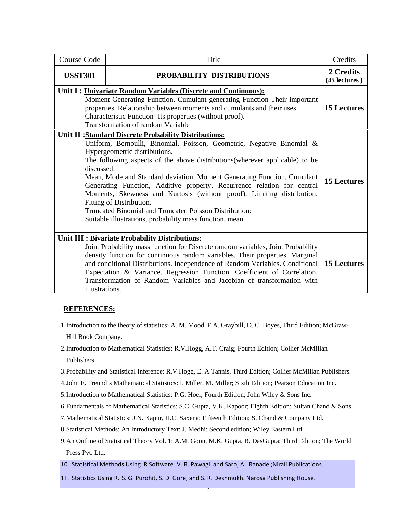| <b>Course Code</b>                                                                                                                                                                                                                                                                                                                                                                                                                                                                                                                                                                                                                              | Title                     | Credits                    |
|-------------------------------------------------------------------------------------------------------------------------------------------------------------------------------------------------------------------------------------------------------------------------------------------------------------------------------------------------------------------------------------------------------------------------------------------------------------------------------------------------------------------------------------------------------------------------------------------------------------------------------------------------|---------------------------|----------------------------|
| <b>USST301</b>                                                                                                                                                                                                                                                                                                                                                                                                                                                                                                                                                                                                                                  | PROBABILITY DISTRIBUTIONS | 2 Credits<br>(45 lectures) |
| Unit I: Univariate Random Variables (Discrete and Continuous):<br>Moment Generating Function, Cumulant generating Function-Their important<br>properties. Relationship between moments and cumulants and their uses.<br>Characteristic Function- Its properties (without proof).<br>Transformation of random Variable                                                                                                                                                                                                                                                                                                                           |                           | <b>15 Lectures</b>         |
| Unit II :Standard Discrete Probability Distributions:<br>Uniform, Bernoulli, Binomial, Poisson, Geometric, Negative Binomial &<br>Hypergeometric distributions.<br>The following aspects of the above distributions (wherever applicable) to be<br>discussed:<br>Mean, Mode and Standard deviation. Moment Generating Function, Cumulant<br>Generating Function, Additive property, Recurrence relation for central<br>Moments, Skewness and Kurtosis (without proof), Limiting distribution.<br>Fitting of Distribution.<br>Truncated Binomial and Truncated Poisson Distribution:<br>Suitable illustrations, probability mass function, mean. |                           | <b>15 Lectures</b>         |
| Unit III : Bivariate Probability Distributions:<br>Joint Probability mass function for Discrete random variables, Joint Probability<br>density function for continuous random variables. Their properties. Marginal<br>and conditional Distributions. Independence of Random Variables. Conditional<br>Expectation & Variance. Regression Function. Coefficient of Correlation.<br>Transformation of Random Variables and Jacobian of transformation with<br>illustrations.                                                                                                                                                                     |                           | <b>15 Lectures</b>         |

#### **REFERENCES:**

- 1.Introduction to the theory of statistics: A. M. Mood, F.A. Graybill, D. C. Boyes, Third Edition; McGraw-Hill Book Company.
- 2.Introduction to Mathematical Statistics: R.V.Hogg, A.T. Craig; Fourth Edition; Collier McMillan Publishers.
- 3.Probability and Statistical Inference: R.V.Hogg, E. A.Tannis, Third Edition; Collier McMillan Publishers.
- 4.John E. Freund's Mathematical Statistics: I. Miller, M. Miller; Sixth Edition; Pearson Education Inc.
- 5.Introduction to Mathematical Statistics: P.G. Hoel; Fourth Edition; John Wiley & Sons Inc.
- 6.Fundamentals of Mathematical Statistics: S.C. Gupta, V.K. Kapoor; Eighth Edition; Sultan Chand & Sons.
- 7.Mathematical Statistics: J.N. Kapur, H.C. Saxena; Fifteenth Edition; S. Chand & Company Ltd.
- 8.Statistical Methods: An Introductory Text: J. Medhi; Second edition; Wiley Eastern Ltd.
- 9.An Outline of Statistical Theory Vol. 1: A.M. Goon, M.K. Gupta, B. DasGupta; Third Edition; The World Press Pvt. Ltd.

3

- 10. Statistical Methods Using R Software :V. R. Pawagi and Saroj A. Ranade ;Nirali Publications.
- 11. Statistics Using R**.** S. G. Purohit, S. D. Gore, and S. R. Deshmukh. Narosa Publishing House.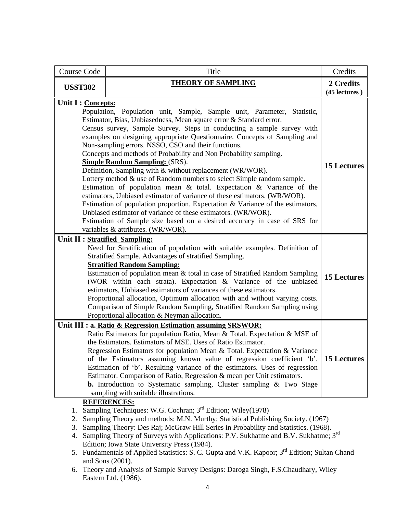| <b>Course Code</b>             | Title                                                                                                                                                                                                                                                                                                                                                                                                                                                                                                                                                                                                                                                                                                                                                                                                                                                                                                                                                                                                                                             | Credits            |
|--------------------------------|---------------------------------------------------------------------------------------------------------------------------------------------------------------------------------------------------------------------------------------------------------------------------------------------------------------------------------------------------------------------------------------------------------------------------------------------------------------------------------------------------------------------------------------------------------------------------------------------------------------------------------------------------------------------------------------------------------------------------------------------------------------------------------------------------------------------------------------------------------------------------------------------------------------------------------------------------------------------------------------------------------------------------------------------------|--------------------|
| <b>USST302</b>                 | <b>THEORY OF SAMPLING</b>                                                                                                                                                                                                                                                                                                                                                                                                                                                                                                                                                                                                                                                                                                                                                                                                                                                                                                                                                                                                                         |                    |
| Unit I : Concepts:             | Population, Population unit, Sample, Sample unit, Parameter, Statistic,<br>Estimator, Bias, Unbiasedness, Mean square error & Standard error.<br>Census survey, Sample Survey. Steps in conducting a sample survey with<br>examples on designing appropriate Questionnaire. Concepts of Sampling and<br>Non-sampling errors. NSSO, CSO and their functions.<br>Concepts and methods of Probability and Non Probability sampling.<br><b>Simple Random Sampling: (SRS).</b><br>Definition, Sampling with & without replacement (WR/WOR).<br>Lottery method $&$ use of Random numbers to select Simple random sample.<br>Estimation of population mean $\&$ total. Expectation $\&$ Variance of the<br>estimators, Unbiased estimator of variance of these estimators. (WR/WOR).<br>Estimation of population proportion. Expectation & Variance of the estimators,<br>Unbiased estimator of variance of these estimators. (WR/WOR).<br>Estimation of Sample size based on a desired accuracy in case of SRS for<br>variables & attributes. (WR/WOR). | <b>15 Lectures</b> |
| Unit II : Stratified Sampling: | Need for Stratification of population with suitable examples. Definition of<br>Stratified Sample. Advantages of stratified Sampling.<br><b>Stratified Random Sampling:</b><br>Estimation of population mean & total in case of Stratified Random Sampling<br>(WOR within each strata). Expectation & Variance of the unbiased<br>estimators, Unbiased estimators of variances of these estimators.<br>Proportional allocation, Optimum allocation with and without varying costs.<br>Comparison of Simple Random Sampling, Stratified Random Sampling using<br>Proportional allocation & Neyman allocation.                                                                                                                                                                                                                                                                                                                                                                                                                                       | <b>15 Lectures</b> |
|                                | Unit III : a. Ratio & Regression Estimation assuming SRSWOR:<br>Ratio Estimators for population Ratio, Mean & Total. Expectation & MSE of<br>the Estimators. Estimators of MSE. Uses of Ratio Estimator.<br>Regression Estimators for population Mean & Total. Expectation & Variance<br>of the Estimators assuming known value of regression coefficient 'b'. 15 Lectures<br>Estimation of 'b'. Resulting variance of the estimators. Uses of regression<br>Estimator. Comparison of Ratio, Regression & mean per Unit estimators.<br><b>b.</b> Introduction to Systematic sampling, Cluster sampling & Two Stage<br>sampling with suitable illustrations.                                                                                                                                                                                                                                                                                                                                                                                       |                    |
| 1.<br>2.<br>3.<br>4.           | <b>REFERENCES:</b><br>Sampling Techniques: W.G. Cochran; 3 <sup>rd</sup> Edition; Wiley(1978)<br>Sampling Theory and methods: M.N. Murthy; Statistical Publishing Society. (1967)<br>Sampling Theory: Des Raj; McGraw Hill Series in Probability and Statistics. (1968).<br>Sampling Theory of Surveys with Applications: P.V. Sukhatme and B.V. Sukhatme; 3 <sup>rd</sup><br>Edition; Iowa State University Press (1984).                                                                                                                                                                                                                                                                                                                                                                                                                                                                                                                                                                                                                        |                    |

- 5. Fundamentals of Applied Statistics: S. C. Gupta and V.K. Kapoor; 3<sup>rd</sup> Edition; Sultan Chand and Sons (2001).
- 6. Theory and Analysis of Sample Survey Designs: Daroga Singh, F.S.Chaudhary, Wiley Eastern Ltd. (1986).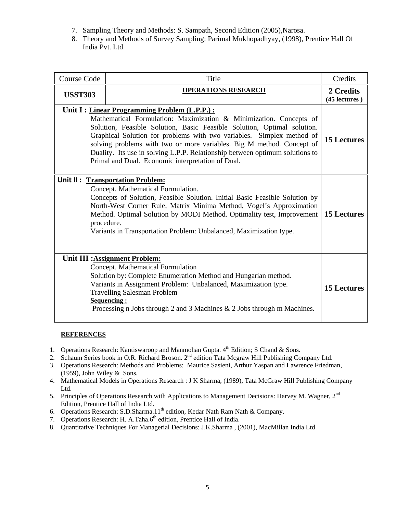- 7. Sampling Theory and Methods: S. Sampath, Second Edition (2005),Narosa.
- 8. Theory and Methods of Survey Sampling: Parimal Mukhopadhyay, (1998), Prentice Hall Of India Pvt. Ltd.

| <b>Course Code</b>                                                                                                                                                                                                                                                                                                                                                                                                                                                                     | Title                      | Credits            |
|----------------------------------------------------------------------------------------------------------------------------------------------------------------------------------------------------------------------------------------------------------------------------------------------------------------------------------------------------------------------------------------------------------------------------------------------------------------------------------------|----------------------------|--------------------|
| <b>USST303</b>                                                                                                                                                                                                                                                                                                                                                                                                                                                                         | <b>OPERATIONS RESEARCH</b> |                    |
| Unit I : Linear Programming Problem (L.P.P.) :<br>Mathematical Formulation: Maximization & Minimization. Concepts of<br>Solution, Feasible Solution, Basic Feasible Solution, Optimal solution.<br>Graphical Solution for problems with two variables. Simplex method of<br>solving problems with two or more variables. Big M method. Concept of<br>Duality. Its use in solving L.P.P. Relationship between optimum solutions to<br>Primal and Dual. Economic interpretation of Dual. |                            | <b>15 Lectures</b> |
| Unit II: Transportation Problem:<br>Concept, Mathematical Formulation.<br>Concepts of Solution, Feasible Solution. Initial Basic Feasible Solution by<br>North-West Corner Rule, Matrix Minima Method, Vogel's Approximation<br>Method. Optimal Solution by MODI Method. Optimality test, Improvement   <br>procedure.<br>Variants in Transportation Problem: Unbalanced, Maximization type.                                                                                           |                            | <b>15 Lectures</b> |
| Unit III : Assignment Problem:<br>Concept. Mathematical Formulation<br>Solution by: Complete Enumeration Method and Hungarian method.<br>Variants in Assignment Problem: Unbalanced, Maximization type.<br><b>Travelling Salesman Problem</b><br>Sequencing:<br>Processing n Jobs through 2 and 3 Machines $\&$ 2 Jobs through m Machines.                                                                                                                                             |                            | <b>15 Lectures</b> |

#### **REFERENCES**

- 1. Operations Research: Kantiswaroop and Manmohan Gupta. 4<sup>th</sup> Edition; S Chand & Sons.
- 2. Schaum Series book in O.R. Richard Broson. 2<sup>nd</sup> edition Tata Mcgraw Hill Publishing Company Ltd.
- 3. Operations Research: Methods and Problems: Maurice Sasieni, Arthur Yaspan and Lawrence Friedman, (1959), John Wiley  $&$  Sons.
- 4. Mathematical Models in Operations Research : J K Sharma, (1989), Tata McGraw Hill Publishing Company Ltd.
- 5. Principles of Operations Research with Applications to Management Decisions: Harvey M. Wagner, 2<sup>nd</sup> Edition, Prentice Hall of India Ltd.
- 6. Operations Research: S.D.Sharma.11<sup>th</sup> edition, Kedar Nath Ram Nath & Company.
- 7. Operations Research: H. A.Taha.6<sup>th</sup> edition, Prentice Hall of India.
- 8. Quantitative Techniques For Managerial Decisions: J.K.Sharma , (2001), MacMillan India Ltd.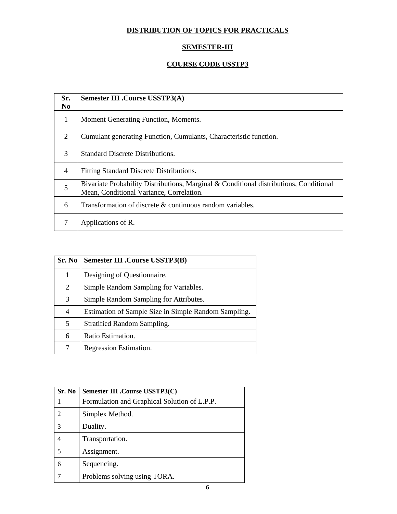# **DISTRIBUTION OF TOPICS FOR PRACTICALS**

## **SEMESTER-III**

# **COURSE CODE USSTP3**

| Sr.<br>No.     | <b>Semester III .Course USSTP3(A)</b>                                                                                              |
|----------------|------------------------------------------------------------------------------------------------------------------------------------|
| 1              | Moment Generating Function, Moments.                                                                                               |
| 2              | Cumulant generating Function, Cumulants, Characteristic function.                                                                  |
| 3              | <b>Standard Discrete Distributions.</b>                                                                                            |
| $\overline{4}$ | Fitting Standard Discrete Distributions.                                                                                           |
| 5              | Bivariate Probability Distributions, Marginal & Conditional distributions, Conditional<br>Mean, Conditional Variance, Correlation. |
| 6              | Transformation of discrete & continuous random variables.                                                                          |
| 7              | Applications of R.                                                                                                                 |

| Sr. No | <b>Semester III .Course USSTP3(B)</b>                |
|--------|------------------------------------------------------|
| 1      | Designing of Questionnaire.                          |
| 2      | Simple Random Sampling for Variables.                |
| 3      | Simple Random Sampling for Attributes.               |
| 4      | Estimation of Sample Size in Simple Random Sampling. |
| 5      | <b>Stratified Random Sampling.</b>                   |
| 6      | Ratio Estimation.                                    |
| 7      | Regression Estimation.                               |

| Sr. No | Semester III .Course USSTP3(C)               |
|--------|----------------------------------------------|
|        | Formulation and Graphical Solution of L.P.P. |
| 2      | Simplex Method.                              |
| 3      | Duality.                                     |
|        | Transportation.                              |
| 5      | Assignment.                                  |
| 6      | Sequencing.                                  |
|        | Problems solving using TORA.                 |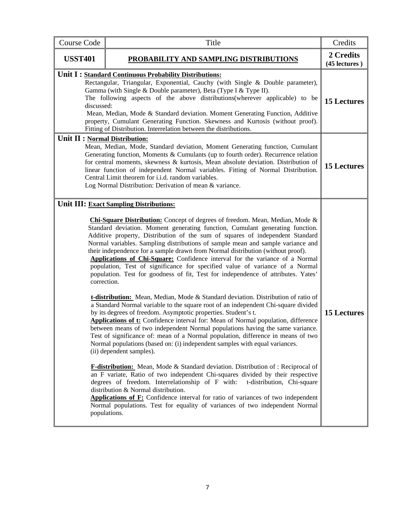| <b>Course Code</b>             | Title                                                                                                                                                                                                                                                                                                                                                                                                                                                                                                                                                                                                                                                                                                                                                                                                                                                                                                                                                                                                                                                                                                                                                                                                                                                                                                                                                                                                                                                                                                                                                                                                                                                                                                                                                                                                                                                  |                            |
|--------------------------------|--------------------------------------------------------------------------------------------------------------------------------------------------------------------------------------------------------------------------------------------------------------------------------------------------------------------------------------------------------------------------------------------------------------------------------------------------------------------------------------------------------------------------------------------------------------------------------------------------------------------------------------------------------------------------------------------------------------------------------------------------------------------------------------------------------------------------------------------------------------------------------------------------------------------------------------------------------------------------------------------------------------------------------------------------------------------------------------------------------------------------------------------------------------------------------------------------------------------------------------------------------------------------------------------------------------------------------------------------------------------------------------------------------------------------------------------------------------------------------------------------------------------------------------------------------------------------------------------------------------------------------------------------------------------------------------------------------------------------------------------------------------------------------------------------------------------------------------------------------|----------------------------|
| <b>USST401</b>                 | PROBABILITY AND SAMPLING DISTRIBUTIONS                                                                                                                                                                                                                                                                                                                                                                                                                                                                                                                                                                                                                                                                                                                                                                                                                                                                                                                                                                                                                                                                                                                                                                                                                                                                                                                                                                                                                                                                                                                                                                                                                                                                                                                                                                                                                 | 2 Credits<br>(45 lectures) |
| discussed:                     | Unit I : Standard Continuous Probability Distributions:<br>Rectangular, Triangular, Exponential, Cauchy (with Single & Double parameter),<br>Gamma (with Single & Double parameter), Beta (Type I & Type II).<br>The following aspects of the above distributions (wherever applicable) to be<br>Mean, Median, Mode & Standard deviation. Moment Generating Function, Additive<br>property, Cumulant Generating Function. Skewness and Kurtosis (without proof).<br>Fitting of Distribution. Interrelation between the distributions.                                                                                                                                                                                                                                                                                                                                                                                                                                                                                                                                                                                                                                                                                                                                                                                                                                                                                                                                                                                                                                                                                                                                                                                                                                                                                                                  | <b>15 Lectures</b>         |
| Unit II : Normal Distribution: | Mean, Median, Mode, Standard deviation, Moment Generating function, Cumulant<br>Generating function, Moments & Cumulants (up to fourth order). Recurrence relation<br>for central moments, skewness & kurtosis, Mean absolute deviation. Distribution of<br>linear function of independent Normal variables. Fitting of Normal Distribution.<br>Central Limit theorem for i.i.d. random variables.<br>Log Normal Distribution: Derivation of mean & variance.                                                                                                                                                                                                                                                                                                                                                                                                                                                                                                                                                                                                                                                                                                                                                                                                                                                                                                                                                                                                                                                                                                                                                                                                                                                                                                                                                                                          | <b>15 Lectures</b>         |
|                                | Unit III: Exact Sampling Distributions:<br>Chi-Square Distribution: Concept of degrees of freedom. Mean, Median, Mode &<br>Standard deviation. Moment generating function, Cumulant generating function.<br>Additive property, Distribution of the sum of squares of independent Standard<br>Normal variables. Sampling distributions of sample mean and sample variance and<br>their independence for a sample drawn from Normal distribution (without proof).<br>Applications of Chi-Square: Confidence interval for the variance of a Normal<br>population, Test of significance for specified value of variance of a Normal<br>population. Test for goodness of fit, Test for independence of attributes. Yates'<br>correction.<br>t-distribution: Mean, Median, Mode & Standard deviation. Distribution of ratio of<br>a Standard Normal variable to the square root of an independent Chi-square divided<br>by its degrees of freedom. Asymptotic properties. Student's t.<br><b>Applications of t:</b> Confidence interval for: Mean of Normal population, difference<br>between means of two independent Normal populations having the same variance.<br>Test of significance of: mean of a Normal population, difference in means of two<br>Normal populations (based on: (i) independent samples with equal variances.<br>(ii) dependent samples).<br><b>F-distribution:</b> Mean, Mode & Standard deviation. Distribution of : Reciprocal of<br>an F variate, Ratio of two independent Chi-squares divided by their respective<br>degrees of freedom. Interrelationship of F with:<br>t-distribution, Chi-square<br>distribution & Normal distribution.<br>Applications of F: Confidence interval for ratio of variances of two independent<br>Normal populations. Test for equality of variances of two independent Normal<br>populations. | <b>15 Lectures</b>         |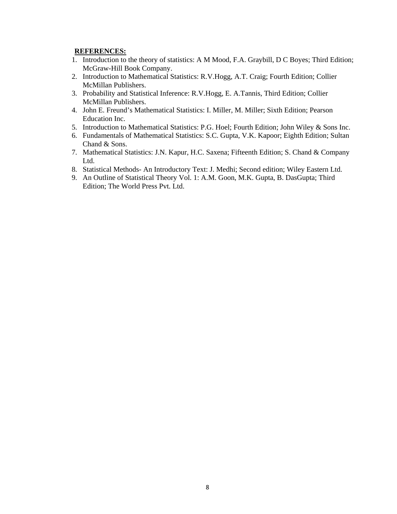#### **REFERENCES:**

- 1. Introduction to the theory of statistics: A M Mood, F.A. Graybill, D C Boyes; Third Edition; McGraw-Hill Book Company.
- 2. Introduction to Mathematical Statistics: R.V.Hogg, A.T. Craig; Fourth Edition; Collier McMillan Publishers.
- 3. Probability and Statistical Inference: R.V.Hogg, E. A.Tannis, Third Edition; Collier McMillan Publishers.
- 4. John E. Freund's Mathematical Statistics: I. Miller, M. Miller; Sixth Edition; Pearson Education Inc.
- 5. Introduction to Mathematical Statistics: P.G. Hoel; Fourth Edition; John Wiley & Sons Inc.
- 6. Fundamentals of Mathematical Statistics: S.C. Gupta, V.K. Kapoor; Eighth Edition; Sultan Chand & Sons.
- 7. Mathematical Statistics: J.N. Kapur, H.C. Saxena; Fifteenth Edition; S. Chand & Company Ltd.
- 8. Statistical Methods- An Introductory Text: J. Medhi; Second edition; Wiley Eastern Ltd.
- 9. An Outline of Statistical Theory Vol. 1: A.M. Goon, M.K. Gupta, B. DasGupta; Third Edition; The World Press Pvt. Ltd.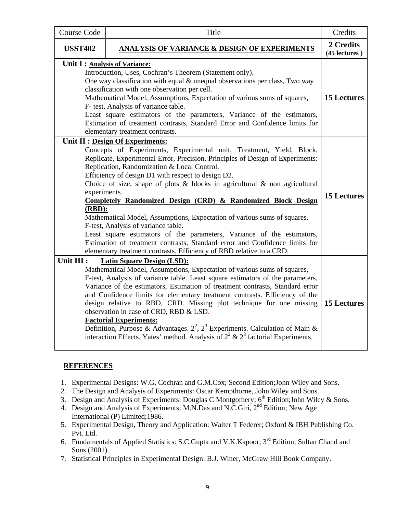| <b>Course Code</b>                                                                                                                                                                                                                                                                                                                                                                                                                                                                                                                                                                                                                                                                                                                                                                                                                   | Title                                                                                                                                                                                                                                                                                                                                                                                                                                                                                                                                                                                                                                                                                          | Credits                    |
|--------------------------------------------------------------------------------------------------------------------------------------------------------------------------------------------------------------------------------------------------------------------------------------------------------------------------------------------------------------------------------------------------------------------------------------------------------------------------------------------------------------------------------------------------------------------------------------------------------------------------------------------------------------------------------------------------------------------------------------------------------------------------------------------------------------------------------------|------------------------------------------------------------------------------------------------------------------------------------------------------------------------------------------------------------------------------------------------------------------------------------------------------------------------------------------------------------------------------------------------------------------------------------------------------------------------------------------------------------------------------------------------------------------------------------------------------------------------------------------------------------------------------------------------|----------------------------|
| <b>USST402</b>                                                                                                                                                                                                                                                                                                                                                                                                                                                                                                                                                                                                                                                                                                                                                                                                                       | <b>ANALYSIS OF VARIANCE &amp; DESIGN OF EXPERIMENTS</b>                                                                                                                                                                                                                                                                                                                                                                                                                                                                                                                                                                                                                                        | 2 Credits<br>(45 lectures) |
| Unit I : Analysis of Variance:<br>Introduction, Uses, Cochran's Theorem (Statement only).<br>One way classification with equal & unequal observations per class, Two way<br>classification with one observation per cell.<br>Mathematical Model, Assumptions, Expectation of various sums of squares,<br>F- test, Analysis of variance table.<br>Least square estimators of the parameters, Variance of the estimators,<br>Estimation of treatment contrasts, Standard Error and Confidence limits for<br>elementary treatment contrasts.                                                                                                                                                                                                                                                                                            |                                                                                                                                                                                                                                                                                                                                                                                                                                                                                                                                                                                                                                                                                                | <b>15 Lectures</b>         |
| Unit II : Design Of Experiments:<br>Concepts of Experiments, Experimental unit, Treatment, Yield, Block,<br>Replicate, Experimental Error, Precision. Principles of Design of Experiments:<br>Replication, Randomization & Local Control.<br>Efficiency of design D1 with respect to design D2.<br>Choice of size, shape of plots $\&$ blocks in agricultural $\&$ non agricultural<br>experiments.<br>Completely Randomized Design (CRD) & Randomized Block Design<br>$(RBD)$ :<br>Mathematical Model, Assumptions, Expectation of various sums of squares,<br>F-test, Analysis of variance table.<br>Least square estimators of the parameters, Variance of the estimators,<br>Estimation of treatment contrasts, Standard error and Confidence limits for<br>elementary treatment contrasts. Efficiency of RBD relative to a CRD. |                                                                                                                                                                                                                                                                                                                                                                                                                                                                                                                                                                                                                                                                                                | <b>15 Lectures</b>         |
| Unit III :                                                                                                                                                                                                                                                                                                                                                                                                                                                                                                                                                                                                                                                                                                                                                                                                                           | <b>Latin Square Design (LSD):</b><br>Mathematical Model, Assumptions, Expectation of various sums of squares,<br>F-test, Analysis of variance table. Least square estimators of the parameters,<br>Variance of the estimators, Estimation of treatment contrasts, Standard error<br>and Confidence limits for elementary treatment contrasts. Efficiency of the<br>design relative to RBD, CRD. Missing plot technique for one missing<br>observation in case of CRD, RBD & LSD.<br><b>Factorial Experiments:</b><br>Definition, Purpose & Advantages. $2^2$ , $2^3$ Experiments. Calculation of Main &<br>interaction Effects. Yates' method. Analysis of $2^2 \& 2^3$ factorial Experiments. | 15 Lectures                |

### **REFERENCES**

- 1. Experimental Designs: W.G. Cochran and G.M.Cox; Second Edition;John Wiley and Sons.
- 2. The Design and Analysis of Experiments: Oscar Kempthorne, John Wiley and Sons.
- 3. Design and Analysis of Experiments: Douglas C Montgomery;  $6<sup>th</sup>$  Edition; John Wiley & Sons.
- 4. Design and Analysis of Experiments: M.N.Das and N.C.Giri, 2<sup>nd</sup> Edition; New Age International (P) Limited;1986.
- 5. Experimental Design, Theory and Application: Walter T Federer; Oxford & IBH Publishing Co. Pvt. Ltd.
- 6. Fundamentals of Applied Statistics: S.C.Gupta and V.K.Kapoor; 3rd Edition; Sultan Chand and Sons (2001).
- 7. Statistical Principles in Experimental Design: B.J. Winer, McGraw Hill Book Company.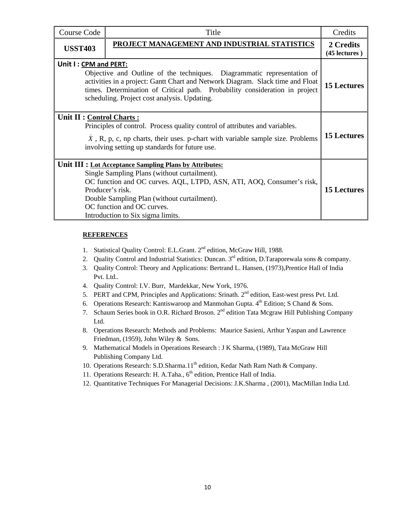| Course Code                                                                                                                                                                                                                                                                                                       | Title                                                                                                                                                                                                                                                                                                                  | Credits                    |
|-------------------------------------------------------------------------------------------------------------------------------------------------------------------------------------------------------------------------------------------------------------------------------------------------------------------|------------------------------------------------------------------------------------------------------------------------------------------------------------------------------------------------------------------------------------------------------------------------------------------------------------------------|----------------------------|
| <b>USST403</b>                                                                                                                                                                                                                                                                                                    | PROJECT MANAGEMENT AND INDUSTRIAL STATISTICS                                                                                                                                                                                                                                                                           | 2 Credits<br>(45 lectures) |
| Unit I: CPM and PERT:<br>Objective and Outline of the techniques. Diagrammatic representation of<br>activities in a project: Gantt Chart and Network Diagram. Slack time and Float<br>times. Determination of Critical path. Probability consideration in project<br>scheduling. Project cost analysis. Updating. |                                                                                                                                                                                                                                                                                                                        | <b>15 Lectures</b>         |
| Unit II : Control Charts :<br>Principles of control. Process quality control of attributes and variables.<br>$X$ , R, p, c, np charts, their uses. p-chart with variable sample size. Problems<br>involving setting up standards for future use.                                                                  |                                                                                                                                                                                                                                                                                                                        | <b>15 Lectures</b>         |
|                                                                                                                                                                                                                                                                                                                   | Unit III : Lot Acceptance Sampling Plans by Attributes:<br>Single Sampling Plans (without curtailment).<br>OC function and OC curves. AQL, LTPD, ASN, ATI, AOQ, Consumer's risk,<br>Producer's risk.<br>Double Sampling Plan (without curtailment).<br>OC function and OC curves.<br>Introduction to Six sigma limits. | <b>15 Lectures</b>         |

#### **REFERENCES**

- 1. Statistical Quality Control: E.L.Grant. 2nd edition, McGraw Hill, 1988.
- 2. Quality Control and Industrial Statistics: Duncan. 3<sup>rd</sup> edition, D.Taraporewala sons & company.
- 3. Quality Control: Theory and Applications: Bertrand L. Hansen, (1973),Prentice Hall of India Pvt. Ltd..
- 4. Quality Control: I.V. Burr, Mardekkar, New York, 1976.
- 5. PERT and CPM, Principles and Applications: Srinath. 2nd edition, East-west press Pvt. Ltd.
- 6. Operations Research: Kantiswaroop and Manmohan Gupta.  $4<sup>th</sup>$  Edition; S Chand & Sons.
- 7. Schaum Series book in O.R. Richard Broson. 2<sup>nd</sup> edition Tata Mcgraw Hill Publishing Company Ltd.
- 8. Operations Research: Methods and Problems: Maurice Sasieni, Arthur Yaspan and Lawrence Friedman, (1959), John Wiley & Sons.
- 9. Mathematical Models in Operations Research : J K Sharma, (1989), Tata McGraw Hill Publishing Company Ltd.
- 10. Operations Research: S.D.Sharma.11<sup>th</sup> edition, Kedar Nath Ram Nath & Company.
- 11. Operations Research: H. A.Taha., 6<sup>th</sup> edition, Prentice Hall of India.
- 12. Quantitative Techniques For Managerial Decisions: J.K.Sharma , (2001), MacMillan India Ltd.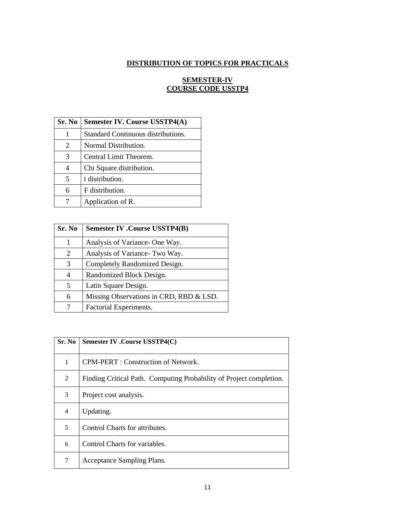# **DISTRIBUTION OF TOPICS FOR PRACTICALS**

### **SEMESTER-IV COURSE CODE USSTP4**

| Sr. No | <b>Semester IV. Course USSTP4(A)</b> |  |
|--------|--------------------------------------|--|
| 1      | Standard Continuous distributions.   |  |
| 2      | Normal Distribution.                 |  |
| 3      | Central Limit Theorem.               |  |
| 4      | Chi Square distribution.             |  |
| 5      | t distribution.                      |  |
| 6      | F distribution.                      |  |
|        | Application of R.                    |  |

| Sr. No | <b>Semester IV .Course USSTP4(B)</b>    |
|--------|-----------------------------------------|
| 1      | Analysis of Variance- One Way.          |
| 2      | Analysis of Variance- Two Way.          |
| 3      | Completely Randomized Design.           |
| 4      | Randomized Block Design.                |
| 5      | Latin Square Design.                    |
| 6      | Missing Observations in CRD, RBD & LSD. |
|        | Factorial Experiments.                  |

| Sr. No | Semester IV .Course USSTP4(C)                                       |
|--------|---------------------------------------------------------------------|
| 1      | CPM-PERT : Construction of Network.                                 |
| 2      | Finding Critical Path. Computing Probability of Project completion. |
| 3      | Project cost analysis.                                              |
| 4      | Updating.                                                           |
| 5      | Control Charts for attributes.                                      |
| 6      | Control Charts for variables.                                       |
| 7      | Acceptance Sampling Plans.                                          |